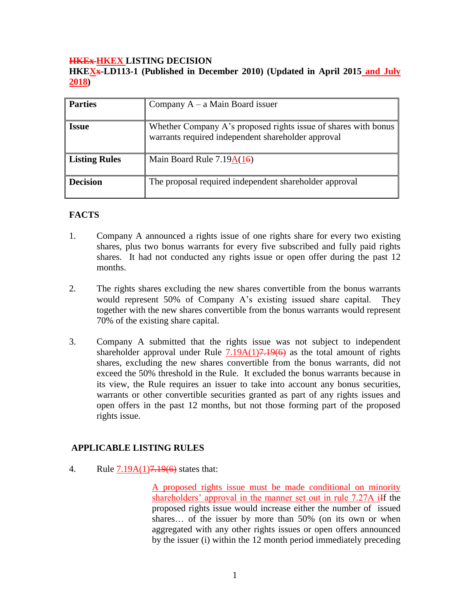#### **HKEx HKEX LISTING DECISION**

**HKEXx-LD113-1 (Published in December 2010) (Updated in April 2015 and July 2018)**

| <b>Parties</b>       | Company $A - a$ Main Board issuer                                                                                    |
|----------------------|----------------------------------------------------------------------------------------------------------------------|
| <b>Issue</b>         | Whether Company A's proposed rights issue of shares with bonus<br>warrants required independent shareholder approval |
| <b>Listing Rules</b> | Main Board Rule $7.19A(16)$                                                                                          |
| <b>Decision</b>      | The proposal required independent shareholder approval                                                               |

## **FACTS**

- 1. Company A announced a rights issue of one rights share for every two existing shares, plus two bonus warrants for every five subscribed and fully paid rights shares. It had not conducted any rights issue or open offer during the past 12 months.
- 2. The rights shares excluding the new shares convertible from the bonus warrants would represent 50% of Company A's existing issued share capital. They together with the new shares convertible from the bonus warrants would represent 70% of the existing share capital.
- 3. Company A submitted that the rights issue was not subject to independent shareholder approval under Rule  $7.19A(1)7.19(6)$  as the total amount of rights shares, excluding the new shares convertible from the bonus warrants, did not exceed the 50% threshold in the Rule. It excluded the bonus warrants because in its view, the Rule requires an issuer to take into account any bonus securities, warrants or other convertible securities granted as part of any rights issues and open offers in the past 12 months, but not those forming part of the proposed rights issue.

## **APPLICABLE LISTING RULES**

4. Rule 7.19A(1)<del>7.19(6)</del> states that:

A proposed rights issue must be made conditional on minority shareholders' approval in the manner set out in rule 7.27A iIf the proposed rights issue would increase either the number of issued shares… of the issuer by more than 50% (on its own or when aggregated with any other rights issues or open offers announced by the issuer (i) within the 12 month period immediately preceding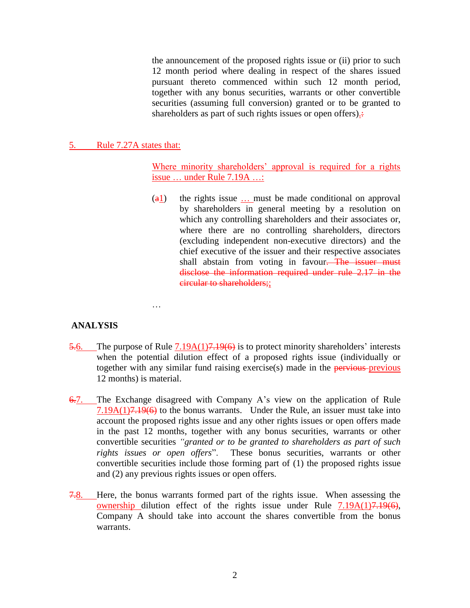the announcement of the proposed rights issue or (ii) prior to such 12 month period where dealing in respect of the shares issued pursuant thereto commenced within such 12 month period, together with any bonus securities, warrants or other convertible securities (assuming full conversion) granted or to be granted to shareholders as part of such rights issues or open offers)...

#### 5. Rule 7.27A states that:

…

Where minority shareholders' approval is required for a rights issue … under Rule 7.19A …:

 $\left(\frac{a_1}{b_1}\right)$  the rights issue ... must be made conditional on approval by shareholders in general meeting by a resolution on which any controlling shareholders and their associates or, where there are no controlling shareholders, directors (excluding independent non-executive directors) and the chief executive of the issuer and their respective associates shall abstain from voting in favour. The issuer must disclose the information required under rule 2.17 in the circular to shareholders;;

## **ANALYSIS**

- 5.6. The purpose of Rule  $7.19A(1)7.19(6)$  is to protect minority shareholders' interests when the potential dilution effect of a proposed rights issue (individually or together with any similar fund raising exercise(s) made in the pervious-previous 12 months) is material.
- 6.7. The Exchange disagreed with Company A's view on the application of Rule 7.19A(1)7.19(6) to the bonus warrants. Under the Rule, an issuer must take into account the proposed rights issue and any other rights issues or open offers made in the past 12 months, together with any bonus securities, warrants or other convertible securities *"granted or to be granted to shareholders as part of such rights issues or open offers*". These bonus securities, warrants or other convertible securities include those forming part of (1) the proposed rights issue and (2) any previous rights issues or open offers.
- 7.8. Here, the bonus warrants formed part of the rights issue. When assessing the ownership dilution effect of the rights issue under Rule  $7.19A(1)7.19(6)$ , Company A should take into account the shares convertible from the bonus warrants.